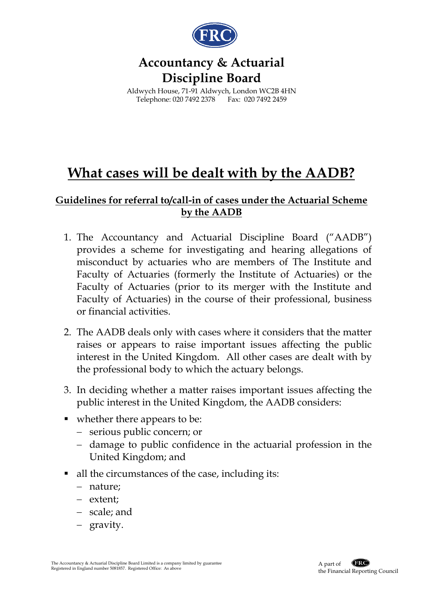

## **Accountancy & Actuarial Discipline Board**

Aldwych House, 71-91 Aldwych, London WC2B 4HN Telephone: 020 7492 2378 Fax: 020 7492 2459

## **What cases will be dealt with by the AADB?**

## **Guidelines for referral to/call-in of cases under the Actuarial Scheme by the AADB**

- 1. The Accountancy and Actuarial Discipline Board ("AADB") provides a scheme for investigating and hearing allegations of misconduct by actuaries who are members of The Institute and Faculty of Actuaries (formerly the Institute of Actuaries) or the Faculty of Actuaries (prior to its merger with the Institute and Faculty of Actuaries) in the course of their professional, business or financial activities.
- 2. The AADB deals only with cases where it considers that the matter raises or appears to raise important issues affecting the public interest in the United Kingdom. All other cases are dealt with by the professional body to which the actuary belongs.
- 3. In deciding whether a matter raises important issues affecting the public interest in the United Kingdom, the AADB considers:
- whether there appears to be:
	- − serious public concern; or
	- − damage to public confidence in the actuarial profession in the United Kingdom; and
- all the circumstances of the case, including its:
	- − nature;
	- − extent;
	- − scale; and
	- − gravity.